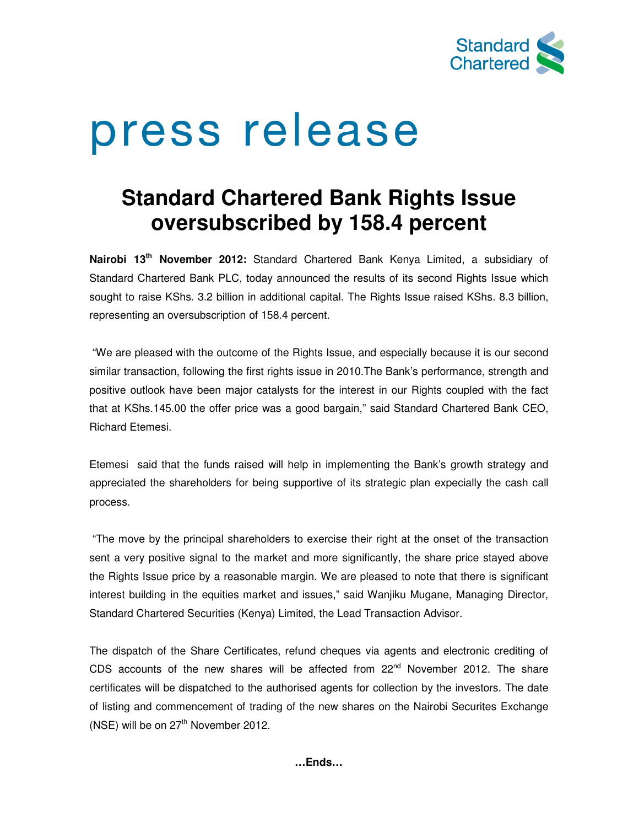

# press release

# **Standard Chartered Bank Rights Issue oversubscribed by 158.4 percent**

**Nairobi 13th November 2012:** Standard Chartered Bank Kenya Limited, a subsidiary of Standard Chartered Bank PLC, today announced the results of its second Rights Issue which sought to raise KShs. 3.2 billion in additional capital. The Rights Issue raised KShs. 8.3 billion, representing an oversubscription of 158.4 percent.

 "We are pleased with the outcome of the Rights Issue, and especially because it is our second similar transaction, following the first rights issue in 2010.The Bank's performance, strength and positive outlook have been major catalysts for the interest in our Rights coupled with the fact that at KShs.145.00 the offer price was a good bargain," said Standard Chartered Bank CEO, Richard Etemesi.

Etemesi said that the funds raised will help in implementing the Bank's growth strategy and appreciated the shareholders for being supportive of its strategic plan expecially the cash call process.

 "The move by the principal shareholders to exercise their right at the onset of the transaction sent a very positive signal to the market and more significantly, the share price stayed above the Rights Issue price by a reasonable margin. We are pleased to note that there is significant interest building in the equities market and issues," said Wanjiku Mugane, Managing Director, Standard Chartered Securities (Kenya) Limited, the Lead Transaction Advisor.

The dispatch of the Share Certificates, refund cheques via agents and electronic crediting of CDS accounts of the new shares will be affected from  $22<sup>nd</sup>$  November 2012. The share certificates will be dispatched to the authorised agents for collection by the investors. The date of listing and commencement of trading of the new shares on the Nairobi Securites Exchange  $(NSE)$  will be on  $27<sup>th</sup>$  November 2012.